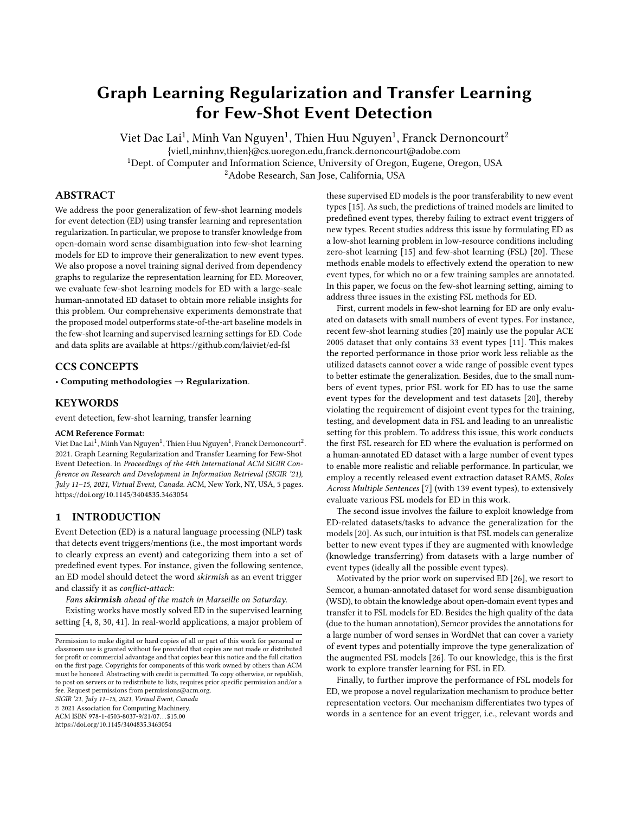# Graph Learning Regularization and Transfer Learning for Few-Shot Event Detection

Viet Dac Lai $^1$ , Minh Van Nguyen $^1$ , Thien Huu Nguyen $^1$ , Franck Dernoncourt $^2$ {vietl,minhnv,thien}@cs.uoregon.edu,franck.dernoncourt@adobe.com <sup>1</sup>Dept. of Computer and Information Science, University of Oregon, Eugene, Oregon, USA <sup>2</sup>Adobe Research, San Jose, California, USA

#### ABSTRACT

We address the poor generalization of few-shot learning models for event detection (ED) using transfer learning and representation regularization. In particular, we propose to transfer knowledge from open-domain word sense disambiguation into few-shot learning models for ED to improve their generalization to new event types. We also propose a novel training signal derived from dependency graphs to regularize the representation learning for ED. Moreover, we evaluate few-shot learning models for ED with a large-scale human-annotated ED dataset to obtain more reliable insights for this problem. Our comprehensive experiments demonstrate that the proposed model outperforms state-of-the-art baseline models in the few-shot learning and supervised learning settings for ED. Code and data splits are available at<https://github.com/laiviet/ed-fsl>

# CCS CONCEPTS

• Computing methodologies  $\rightarrow$  Regularization.

#### KEYWORDS

event detection, few-shot learning, transfer learning

#### ACM Reference Format:

Viet Dac Lai<sup>1</sup>, Minh Van Nguyen<sup>1</sup>, Thien Huu Nguyen<sup>1</sup>, Franck Dernoncourt<sup>2</sup>. 2021. Graph Learning Regularization and Transfer Learning for Few-Shot Event Detection. In Proceedings of the 44th International ACM SIGIR Conference on Research and Development in Information Retrieval (SIGIR '21), July 11–15, 2021, Virtual Event, Canada. ACM, New York, NY, USA, [5](#page-4-0) pages. <https://doi.org/10.1145/3404835.3463054>

## 1 INTRODUCTION

Event Detection (ED) is a natural language processing (NLP) task that detects event triggers/mentions (i.e., the most important words to clearly express an event) and categorizing them into a set of predefined event types. For instance, given the following sentence, an ED model should detect the word skirmish as an event trigger and classify it as conflict-attack:

Fans skirmish ahead of the match in Marseille on Saturday.

Existing works have mostly solved ED in the supervised learning setting [\[4,](#page-4-1) [8,](#page-4-2) [30,](#page-4-3) [41\]](#page-4-4). In real-world applications, a major problem of

SIGIR '21, July 11–15, 2021, Virtual Event, Canada

© 2021 Association for Computing Machinery.

ACM ISBN 978-1-4503-8037-9/21/07. . . \$15.00

<https://doi.org/10.1145/3404835.3463054>

these supervised ED models is the poor transferability to new event types [\[15\]](#page-4-5). As such, the predictions of trained models are limited to predefined event types, thereby failing to extract event triggers of new types. Recent studies address this issue by formulating ED as a low-shot learning problem in low-resource conditions including zero-shot learning [\[15\]](#page-4-5) and few-shot learning (FSL) [\[20\]](#page-4-6). These methods enable models to effectively extend the operation to new event types, for which no or a few training samples are annotated. In this paper, we focus on the few-shot learning setting, aiming to address three issues in the existing FSL methods for ED.

First, current models in few-shot learning for ED are only evaluated on datasets with small numbers of event types. For instance, recent few-shot learning studies [\[20\]](#page-4-6) mainly use the popular ACE 2005 dataset that only contains 33 event types [\[11\]](#page-4-7). This makes the reported performance in those prior work less reliable as the utilized datasets cannot cover a wide range of possible event types to better estimate the generalization. Besides, due to the small numbers of event types, prior FSL work for ED has to use the same event types for the development and test datasets [\[20\]](#page-4-6), thereby violating the requirement of disjoint event types for the training, testing, and development data in FSL and leading to an unrealistic setting for this problem. To address this issue, this work conducts the first FSL research for ED where the evaluation is performed on a human-annotated ED dataset with a large number of event types to enable more realistic and reliable performance. In particular, we employ a recently released event extraction dataset RAMS, Roles Across Multiple Sentences [\[7\]](#page-4-8) (with 139 event types), to extensively evaluate various FSL models for ED in this work.

The second issue involves the failure to exploit knowledge from ED-related datasets/tasks to advance the generalization for the models [\[20\]](#page-4-6). As such, our intuition is that FSL models can generalize better to new event types if they are augmented with knowledge (knowledge transferring) from datasets with a large number of event types (ideally all the possible event types).

Motivated by the prior work on supervised ED [\[26\]](#page-4-9), we resort to Semcor, a human-annotated dataset for word sense disambiguation (WSD), to obtain the knowledge about open-domain event types and transfer it to FSL models for ED. Besides the high quality of the data (due to the human annotation), Semcor provides the annotations for a large number of word senses in WordNet that can cover a variety of event types and potentially improve the type generalization of the augmented FSL models [\[26\]](#page-4-9). To our knowledge, this is the first work to explore transfer learning for FSL in ED.

Finally, to further improve the performance of FSL models for ED, we propose a novel regularization mechanism to produce better representation vectors. Our mechanism differentiates two types of words in a sentence for an event trigger, i.e., relevant words and

Permission to make digital or hard copies of all or part of this work for personal or classroom use is granted without fee provided that copies are not made or distributed for profit or commercial advantage and that copies bear this notice and the full citation on the first page. Copyrights for components of this work owned by others than ACM must be honored. Abstracting with credit is permitted. To copy otherwise, or republish, to post on servers or to redistribute to lists, requires prior specific permission and/or a fee. Request permissions from permissions@acm.org.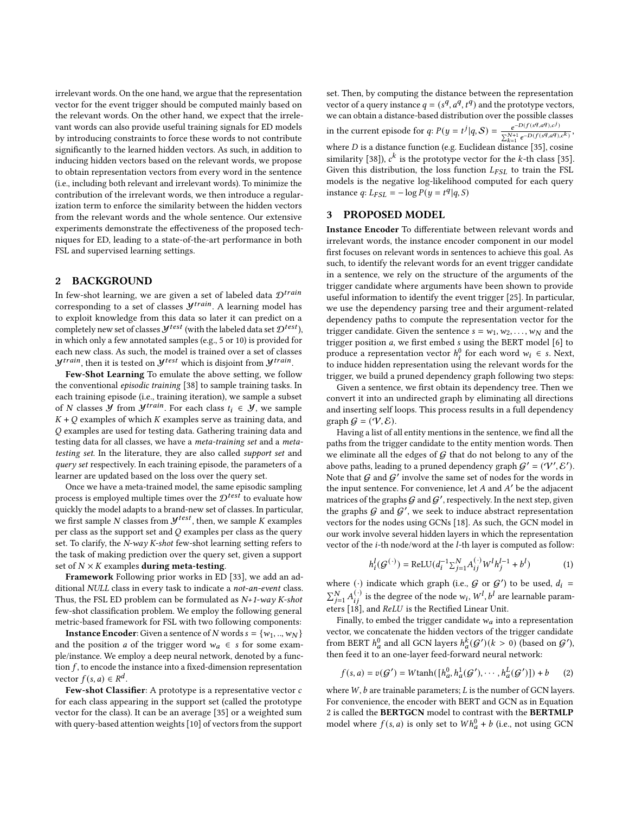irrelevant words. On the one hand, we argue that the representation vector for the event trigger should be computed mainly based on the relevant words. On the other hand, we expect that the irrelevant words can also provide useful training signals for ED models by introducing constraints to force these words to not contribute significantly to the learned hidden vectors. As such, in addition to inducing hidden vectors based on the relevant words, we propose to obtain representation vectors from every word in the sentence (i.e., including both relevant and irrelevant words). To minimize the contribution of the irrelevant words, we then introduce a regularization term to enforce the similarity between the hidden vectors from the relevant words and the whole sentence. Our extensive experiments demonstrate the effectiveness of the proposed techniques for ED, leading to a state-of-the-art performance in both FSL and supervised learning settings.

#### <span id="page-1-1"></span>2 BACKGROUND

In few-shot learning, we are given a set of labeled data  $\mathcal{D}^{train}$ corresponding to a set of classes  $\mathcal{Y}^{train}$ . A learning model has to exploit knowledge from this data so later it can predict on a completely new set of classes  $\mathcal{Y}^{test}$  (with the labeled data set  $\mathcal{D}^{test}$ ), in which only a few annotated samples (e.g., 5 or 10) is provided for each new class. As such, the model is trained over a set of classes  $\mathcal{Y}^{train}$ , then it is tested on  $\mathcal{Y}^{test}$  which is disjoint from  $\mathcal{Y}^{train}$ .

Few-Shot Learning To emulate the above setting, we follow the conventional episodic training [\[38\]](#page-4-10) to sample training tasks. In each training episode (i.e., training iteration), we sample a subset of N classes Y from  $y^{train}$ . For each class  $t_i \in Y$ , we sample  $K + Q$  examples of which  $K$  examples serve as training data, and examples are used for testing data. Gathering training data and testing data for all classes, we have a meta-training set and a metatesting set. In the literature, they are also called support set and query set respectively. In each training episode, the parameters of a learner are updated based on the loss over the query set.

Once we have a meta-trained model, the same episodic sampling process is employed multiple times over the  $\mathcal{D}^{test}$  to evaluate how quickly the model adapts to a brand-new set of classes. In particular, we first sample N classes from  $\mathcal{Y}^{test}$ , then, we sample K examples per class as the support set and  $Q$  examples per class as the query set. To clarify, the N-way K-shot few-shot learning setting refers to the task of making prediction over the query set, given a support set of  $N \times K$  examples **during meta-testing**.

Framework Following prior works in ED [\[33\]](#page-4-11), we add an additional NULL class in every task to indicate a not-an-event class. Thus, the FSL ED problem can be formulated as  $N+1$ -way K-shot few-shot classification problem. We employ the following general metric-based framework for FSL with two following components:

**Instance Encoder:** Given a sentence of N words  $s = \{w_1, ..., w_N\}$ and the position *a* of the trigger word  $w_a \in s$  for some example/instance. We employ a deep neural network, denoted by a function  $f$ , to encode the instance into a fixed-dimension representation vector  $f(s, a) \in R^d$ .

Few-shot Classifier: A prototype is a representative vector  $c$ for each class appearing in the support set (called the prototype vector for the class). It can be an average [\[35\]](#page-4-12) or a weighted sum with query-based attention weights [\[10\]](#page-4-13) of vectors from the support set. Then, by computing the distance between the representation vector of a query instance  $q = (s^q, a^q, t^q)$  and the prototype vectors, we can obtain a distance-based distribution over the possible classes in the current episode for q:  $P(y = t^{j} | q, S) = \frac{e^{-D(f(s^{q}, a^{q}), c^{j})}}{\sum_{i} N+1 - D(f(s^{q}, a^{q}))}$  $\frac{e^{L(y(s), a^t), c^t}}{\sum_{k=1}^{N+1} e^{-D(f(s^q, a^q), c^k)}},$ where  $D$  is a distance function (e.g. Euclidean distance [\[35\]](#page-4-12), cosine similarity [\[38\]](#page-4-10)),  $c^k$  is the prototype vector for the k-th class [\[35\]](#page-4-12). Given this distribution, the loss function  $L_{FSL}$  to train the FSL models is the negative log-likelihood computed for each query instance  $q: L_{FSL} = -\log P(y = t^q | q, S)$ 

## 3 PROPOSED MODEL

Instance Encoder To differentiate between relevant words and irrelevant words, the instance encoder component in our model first focuses on relevant words in sentences to achieve this goal. As such, to identify the relevant words for an event trigger candidate in a sentence, we rely on the structure of the arguments of the trigger candidate where arguments have been shown to provide useful information to identify the event trigger [\[25\]](#page-4-14). In particular, we use the dependency parsing tree and their argument-related dependency paths to compute the representation vector for the trigger candidate. Given the sentence  $s = w_1, w_2, \ldots, w_N$  and the trigger position  $a$ , we first embed  $s$  using the BERT model  $[6]$  to produce a representation vector  $h_i^0$  for each word  $w_i \in s$ . Next, to induce hidden representation using the relevant words for the trigger, we build a pruned dependency graph following two steps:

Given a sentence, we first obtain its dependency tree. Then we convert it into an undirected graph by eliminating all directions and inserting self loops. This process results in a full dependency graph  $G = (V, \mathcal{E})$ .

Having a list of all entity mentions in the sentence, we find all the paths from the trigger candidate to the entity mention words. Then we eliminate all the edges of  $G$  that do not belong to any of the above paths, leading to a pruned dependency graph  $\mathcal{G}' = (\mathcal{V}', \mathcal{E}')$ . Note that  $G$  and  $G'$  involve the same set of nodes for the words in the input sentence. For convenience, let  $A$  and  $A'$  be the adjacent matrices of the graphs  ${\mathcal G}$  and  ${\mathcal G}^\prime$ , respectively. In the next step, given the graphs  $G$  and  $G'$ , we seek to induce abstract representation vectors for the nodes using GCNs [\[18\]](#page-4-16). As such, the GCN model in our work involve several hidden layers in which the representation vector of the  $i$ -th node/word at the  $l$ -th layer is computed as follow:

<span id="page-1-2"></span>
$$
h_i^l(G^{(\cdot)}) = \text{ReLU}(d_i^{-1} \sum_{j=1}^N A_{ij}^{(\cdot)} W^l h_j^{l-1} + b^l)
$$
 (1)

where (·) indicate which graph (i.e.,  $G$  or  $G'$ ) to be used,  $d_i =$  $\sum_{j=1}^{N} A_{ij}^{(\cdot)}$  is the degree of the node  $w_i$ ,  $W^l$ ,  $b^l$  are learnable parameters  $[18]$ , and  $ReLU$  is the Rectified Linear Unit.

Finally, to embed the trigger candidate  $\boldsymbol{w}_a$  into a representation vector, we concatenate the hidden vectors of the trigger candidate from BERT  $h_a^0$  and all GCN layers  $h_a^k(G')(k>0)$  (based on  $G'$ ), then feed it to an one-layer feed-forward neural network:

<span id="page-1-0"></span>
$$
f(s, a) = v(G') = W \tanh([h_a^0, h_a^1(G'), \cdots, h_a^L(G')]) + b \qquad (2)
$$

where  $W$ ,  $b$  are trainable parameters;  $L$  is the number of GCN layers. For convenience, the encoder with BERT and GCN as in Equation [2](#page-1-0) is called the BERTGCN model to contrast with the BERTMLP model where  $f(s, a)$  is only set to  $Wh_a^0 + b$  (i.e., not using GCN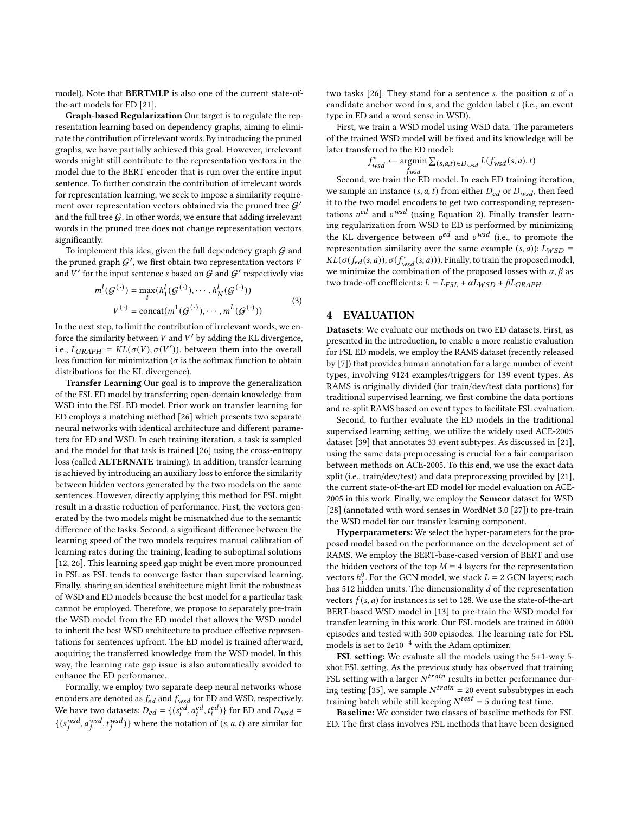model). Note that BERTMLP is also one of the current state-ofthe-art models for ED [\[21\]](#page-4-17).

Graph-based Regularization Our target is to regulate the representation learning based on dependency graphs, aiming to eliminate the contribution of irrelevant words. By introducing the pruned graphs, we have partially achieved this goal. However, irrelevant words might still contribute to the representation vectors in the model due to the BERT encoder that is run over the entire input sentence. To further constrain the contribution of irrelevant words for representation learning, we seek to impose a similarity requirement over representation vectors obtained via the pruned tree  $\mathcal{G}'$ and the full tree  $G$ . In other words, we ensure that adding irrelevant words in the pruned tree does not change representation vectors significantly.

To implement this idea, given the full dependency graph  $G$  and the pruned graph  $G'$ , we first obtain two representation vectors V and  $V'$  for the input sentence s based on  $G$  and  $G'$  respectively via:

$$
m^{l}(\mathcal{G}^{(\cdot)}) = \max_{i} (h_1^{l}(\mathcal{G}^{(\cdot)}), \cdots, h_N^{l}(\mathcal{G}^{(\cdot)}))
$$
  

$$
V^{(\cdot)} = \text{concat}(m^{1}(\mathcal{G}^{(\cdot)}), \cdots, m^{L}(\mathcal{G}^{(\cdot)}))
$$
 (3)

In the next step, to limit the contribution of irrelevant words, we enforce the similarity between  $V$  and  $V'$  by adding the KL divergence, i.e.,  $L_{GRAPH} = KL(\sigma(V), \sigma(V'))$ , between them into the overall loss function for minimization ( $\sigma$  is the softmax function to obtain distributions for the KL divergence).

Transfer Learning Our goal is to improve the generalization of the FSL ED model by transferring open-domain knowledge from WSD into the FSL ED model. Prior work on transfer learning for ED employs a matching method [\[26\]](#page-4-9) which presents two separate neural networks with identical architecture and different parameters for ED and WSD. In each training iteration, a task is sampled and the model for that task is trained [\[26\]](#page-4-9) using the cross-entropy loss (called ALTERNATE training). In addition, transfer learning is achieved by introducing an auxiliary loss to enforce the similarity between hidden vectors generated by the two models on the same sentences. However, directly applying this method for FSL might result in a drastic reduction of performance. First, the vectors generated by the two models might be mismatched due to the semantic difference of the tasks. Second, a significant difference between the learning speed of the two models requires manual calibration of learning rates during the training, leading to suboptimal solutions [\[12,](#page-4-18) [26\]](#page-4-9). This learning speed gap might be even more pronounced in FSL as FSL tends to converge faster than supervised learning. Finally, sharing an identical architecture might limit the robustness of WSD and ED models because the best model for a particular task cannot be employed. Therefore, we propose to separately pre-train the WSD model from the ED model that allows the WSD model to inherit the best WSD architecture to produce effective representations for sentences upfront. The ED model is trained afterward, acquiring the transferred knowledge from the WSD model. In this way, the learning rate gap issue is also automatically avoided to enhance the ED performance.

Formally, we employ two separate deep neural networks whose encoders are denoted as  $f_{ed}$  and  $f_{wsd}$  for ED and WSD, respectively. We have two datasets:  $D_{ed} = \{(s_i^{ed}, a_i^{ed}, t_i^{ed})\}$  for ED and  $D_{wsd} =$  $\{(s_i^{wsd}, a_i^{wsd}, t_i^{wsd})\}$  where the notation of  $(s, a, t)$  are similar for

two tasks  $[26]$ . They stand for a sentence s, the position  $a$  of a candidate anchor word in  $s$ , and the golden label  $t$  (i.e., an event type in ED and a word sense in WSD).

First, we train a WSD model using WSD data. The parameters of the trained WSD model will be fixed and its knowledge will be later transferred to the ED model:

$$
f_{wsd}^* \leftarrow \underset{f_{wsd}}{\text{argmin}} \sum_{(s,a,t) \in D_{wsd}} L(f_{wsd}(s,a), t)
$$

Second, we train the ED model. In each ED training iteration, we sample an instance  $(s, a, t)$  from either  $D_{ed}$  or  $D_{wsd}$ , then feed it to the two model encoders to get two corresponding representations  $v^{ed}$  and  $v^{wsd}$  (using Equation [2\)](#page-1-0). Finally transfer learning regularization from WSD to ED is performed by minimizing the KL divergence between  $v^{ed}$  and  $v^{wsd}$  (i.e., to promote the representation similarity over the same example  $(s, a)$ ):  $L_{WSD}$  =  $\bar{KL}(\sigma(f_{ed}(s,a)), \sigma(f_{wsd}^*(s,a)))$ . Finally, to train the proposed model, we minimize the combination of the proposed losses with  $\alpha$ ,  $\beta$  as two trade-off coefficients:  $L = L_{FSL} + \alpha L_{WSD} + \beta L_{GRAPH}$ .

#### 4 EVALUATION

Datasets: We evaluate our methods on two ED datasets. First, as presented in the introduction, to enable a more realistic evaluation for FSL ED models, we employ the RAMS dataset (recently released by [\[7\]](#page-4-8)) that provides human annotation for a large number of event types, involving 9124 examples/triggers for 139 event types. As RAMS is originally divided (for train/dev/test data portions) for traditional supervised learning, we first combine the data portions and re-split RAMS based on event types to facilitate FSL evaluation.

Second, to further evaluate the ED models in the traditional supervised learning setting, we utilize the widely used ACE-2005 dataset [\[39\]](#page-4-19) that annotates 33 event subtypes. As discussed in [\[21\]](#page-4-17), using the same data preprocessing is crucial for a fair comparison between methods on ACE-2005. To this end, we use the exact data split (i.e., train/dev/test) and data preprocessing provided by [\[21\]](#page-4-17), the current state-of-the-art ED model for model evaluation on ACE-2005 in this work. Finally, we employ the Semcor dataset for WSD [\[28\]](#page-4-20) (annotated with word senses in WordNet 3.0 [\[27\]](#page-4-21)) to pre-train the WSD model for our transfer learning component.

Hyperparameters: We select the hyper-parameters for the proposed model based on the performance on the development set of RAMS. We employ the BERT-base-cased version of BERT and use the hidden vectors of the top  $M = 4$  layers for the representation vectors  $h_i^0$ . For the GCN model, we stack  $L = 2$  GCN layers; each has 512 hidden units. The dimensionality  $d$  of the representation vectors  $f(s, a)$  for instances is set to 128. We use the state-of-the-art BERT-based WSD model in [\[13\]](#page-4-22) to pre-train the WSD model for transfer learning in this work. Our FSL models are trained in 6000 episodes and tested with 500 episodes. The learning rate for FSL models is set to  $2e10^{-4}$  with the Adam optimizer.

FSL setting: We evaluate all the models using the 5+1-way 5 shot FSL setting. As the previous study has observed that training FSL setting with a larger  $N^{train}$  results in better performance dur-ing testing [\[35\]](#page-4-12), we sample  $N^{train} = 20$  event subsubtypes in each training batch while still keeping  $N^{test} = 5$  during test time.

Baseline: We consider two classes of baseline methods for FSL ED. The first class involves FSL methods that have been designed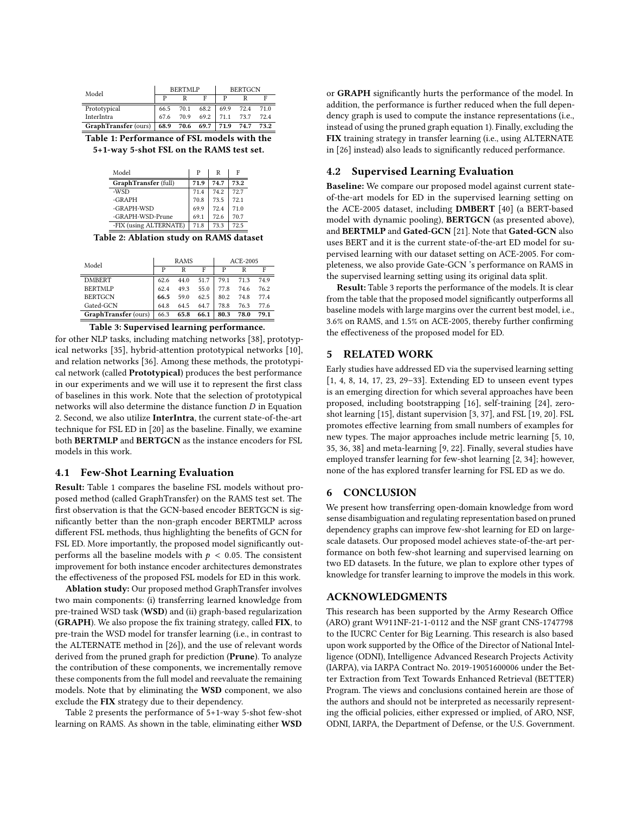<span id="page-3-0"></span>

| Model                       | <b>BERTMLP</b> |      |      | <b>BERTGCN</b> |      |      |
|-----------------------------|----------------|------|------|----------------|------|------|
|                             |                |      |      |                |      |      |
| Prototypical                | 66.5           | 70.1 | 68.2 | 69.9           | 72.4 | 71.0 |
| InterIntra                  | 67.6           | 70.9 | 69.2 | 71.1           | 73.7 | 72.4 |
| GraphTransfer (ours)   68.9 |                | 70.6 | 69.7 | 71.9           | 74.7 | 73.2 |

Table 1: Performance of FSL models with the 5+1-way 5-shot FSL on the RAMS test set.

| Model                  | P    | R    | F    |  |
|------------------------|------|------|------|--|
| GraphTransfer (full)   | 71.9 | 74.7 | 73.2 |  |
| -WSD                   | 71.4 | 74.2 | 72.7 |  |
| $-GRAPH$               | 70.8 | 73.5 | 72.1 |  |
| -GRAPH-WSD             | 69.9 | 72.4 | 71.0 |  |
| -GRAPH-WSD-Prune       | 69.1 | 72.6 | 70.7 |  |
| -FIX (using ALTERNATE) | 71.8 | 73.3 | 72.5 |  |

Table 2: Ablation study on RAMS dataset

| Model                | <b>RAMS</b> |      |      | ACE-2005 |      |      |
|----------------------|-------------|------|------|----------|------|------|
|                      | P           | R    | F    | P        | R    | F    |
| <b>DMBERT</b>        | 62.6        | 44.0 | 51.7 | 79.1     | 71.3 | 74.9 |
| <b>BERTMLP</b>       | 62.4        | 49.3 | 55.0 | 77.8     | 74.6 | 76.2 |
| <b>BERTGCN</b>       | 66.5        | 59.0 | 62.5 | 80.2     | 74.8 | 77.4 |
| Gated-GCN            | 64.8        | 64.5 | 64.7 | 78.8     | 76.3 | 77.6 |
| GraphTransfer (ours) | 66.3        | 65.8 | 66.1 | 80.3     | 78.0 | 79.1 |
|                      |             |      |      |          |      |      |

Table 3: Supervised learning performance.

for other NLP tasks, including matching networks [\[38\]](#page-4-10), prototypical networks [\[35\]](#page-4-12), hybrid-attention prototypical networks [\[10\]](#page-4-13), and relation networks [\[36\]](#page-4-23). Among these methods, the prototypical network (called Prototypical) produces the best performance in our experiments and we will use it to represent the first class of baselines in this work. Note that the selection of prototypical networks will also determine the distance function  $D$  in Equation [2.](#page-1-1) Second, we also utilize InterIntra, the current state-of-the-art technique for FSL ED in [\[20\]](#page-4-6) as the baseline. Finally, we examine both BERTMLP and BERTGCN as the instance encoders for FSL models in this work.

#### 4.1 Few-Shot Learning Evaluation

Result: Table [1](#page-3-0) compares the baseline FSL models without proposed method (called GraphTransfer) on the RAMS test set. The first observation is that the GCN-based encoder BERTGCN is significantly better than the non-graph encoder BERTMLP across different FSL methods, thus highlighting the benefits of GCN for FSL ED. More importantly, the proposed model significantly outperforms all the baseline models with  $p < 0.05$ . The consistent improvement for both instance encoder architectures demonstrates the effectiveness of the proposed FSL models for ED in this work.

Ablation study: Our proposed method GraphTransfer involves two main components: (i) transferring learned knowledge from pre-trained WSD task (WSD) and (ii) graph-based regularization (GRAPH). We also propose the fix training strategy, called FIX, to pre-train the WSD model for transfer learning (i.e., in contrast to the ALTERNATE method in [\[26\]](#page-4-9)), and the use of relevant words derived from the pruned graph for prediction (Prune). To analyze the contribution of these components, we incrementally remove these components from the full model and reevaluate the remaining models. Note that by eliminating the WSD component, we also exclude the FIX strategy due to their dependency.

Table [2](#page-3-0) presents the performance of 5+1-way 5-shot few-shot learning on RAMS. As shown in the table, eliminating either WSD or GRAPH significantly hurts the performance of the model. In addition, the performance is further reduced when the full dependency graph is used to compute the instance representations (i.e., instead of using the pruned graph equation [1\)](#page-1-2). Finally, excluding the FIX training strategy in transfer learning (i.e., using ALTERNATE in [\[26\]](#page-4-9) instead) also leads to significantly reduced performance.

# 4.2 Supervised Learning Evaluation

Baseline: We compare our proposed model against current stateof-the-art models for ED in the supervised learning setting on the ACE-2005 dataset, including DMBERT [\[40\]](#page-4-24) (a BERT-based model with dynamic pooling), BERTGCN (as presented above), and BERTMLP and Gated-GCN [\[21\]](#page-4-17). Note that Gated-GCN also uses BERT and it is the current state-of-the-art ED model for supervised learning with our dataset setting on ACE-2005. For completeness, we also provide Gate-GCN 's performance on RAMS in the supervised learning setting using its original data split.

Result: Table [3](#page-3-0) reports the performance of the models. It is clear from the table that the proposed model significantly outperforms all baseline models with large margins over the current best model, i.e., 3.6% on RAMS, and 1.5% on ACE-2005, thereby further confirming the effectiveness of the proposed model for ED.

## 5 RELATED WORK

Early studies have addressed ED via the supervised learning setting [\[1,](#page-4-25) [4,](#page-4-1) [8,](#page-4-2) [14,](#page-4-26) [17,](#page-4-27) [23,](#page-4-28) [29](#page-4-29)[–33\]](#page-4-11). Extending ED to unseen event types is an emerging direction for which several approaches have been proposed, including bootstrapping [\[16\]](#page-4-30), self-training [\[24\]](#page-4-31), zeroshot learning [\[15\]](#page-4-5), distant supervision [\[3,](#page-4-32) [37\]](#page-4-33), and FSL [\[19,](#page-4-34) [20\]](#page-4-6). FSL promotes effective learning from small numbers of examples for new types. The major approaches include metric learning [\[5,](#page-4-35) [10,](#page-4-13) [35,](#page-4-12) [36,](#page-4-23) [38\]](#page-4-10) and meta-learning [\[9,](#page-4-36) [22\]](#page-4-37). Finally, several studies have employed transfer learning for few-shot learning [\[2,](#page-4-38) [34\]](#page-4-39); however, none of the has explored transfer learning for FSL ED as we do.

## 6 CONCLUSION

We present how transferring open-domain knowledge from word sense disambiguation and regulating representation based on pruned dependency graphs can improve few-shot learning for ED on largescale datasets. Our proposed model achieves state-of-the-art performance on both few-shot learning and supervised learning on two ED datasets. In the future, we plan to explore other types of knowledge for transfer learning to improve the models in this work.

## ACKNOWLEDGMENTS

This research has been supported by the Army Research Office (ARO) grant W911NF-21-1-0112 and the NSF grant CNS-1747798 to the IUCRC Center for Big Learning. This research is also based upon work supported by the Office of the Director of National Intelligence (ODNI), Intelligence Advanced Research Projects Activity (IARPA), via IARPA Contract No. 2019-19051600006 under the Better Extraction from Text Towards Enhanced Retrieval (BETTER) Program. The views and conclusions contained herein are those of the authors and should not be interpreted as necessarily representing the official policies, either expressed or implied, of ARO, NSF, ODNI, IARPA, the Department of Defense, or the U.S. Government.